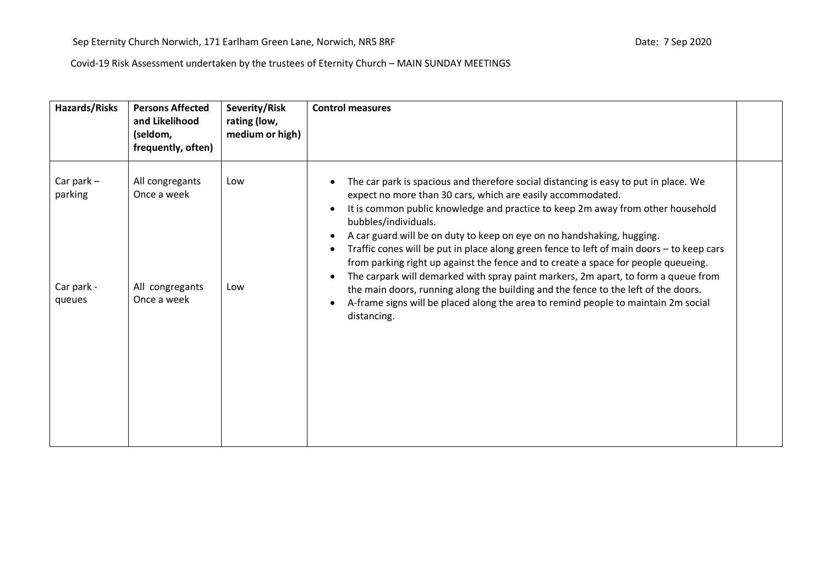| Hazards/Risks<br>(seldom,                                                     | <b>Persons Affected</b><br>and Likelihood<br>frequently, often) | Severity/Risk<br>rating (low,<br>medium or high) | <b>Control measures</b>                                                                                                                                                                                                                                                                                                                                                                                                                                                                                                                                                                                                                                                                                                                                                                                      |  |
|-------------------------------------------------------------------------------|-----------------------------------------------------------------|--------------------------------------------------|--------------------------------------------------------------------------------------------------------------------------------------------------------------------------------------------------------------------------------------------------------------------------------------------------------------------------------------------------------------------------------------------------------------------------------------------------------------------------------------------------------------------------------------------------------------------------------------------------------------------------------------------------------------------------------------------------------------------------------------------------------------------------------------------------------------|--|
| Car park $-$<br>parking<br>Once a week<br>Car park -<br>Once a week<br>queues | All congregants<br>All congregants                              | Low<br>Low                                       | The car park is spacious and therefore social distancing is easy to put in place. We<br>expect no more than 30 cars, which are easily accommodated.<br>It is common public knowledge and practice to keep 2m away from other household<br>bubbles/individuals.<br>A car guard will be on duty to keep on eye on no handshaking, hugging.<br>Traffic cones will be put in place along green fence to left of main doors - to keep cars<br>from parking right up against the fence and to create a space for people queueing.<br>The carpark will demarked with spray paint markers, 2m apart, to form a queue from<br>the main doors, running along the building and the fence to the left of the doors.<br>A-frame signs will be placed along the area to remind people to maintain 2m social<br>distancing. |  |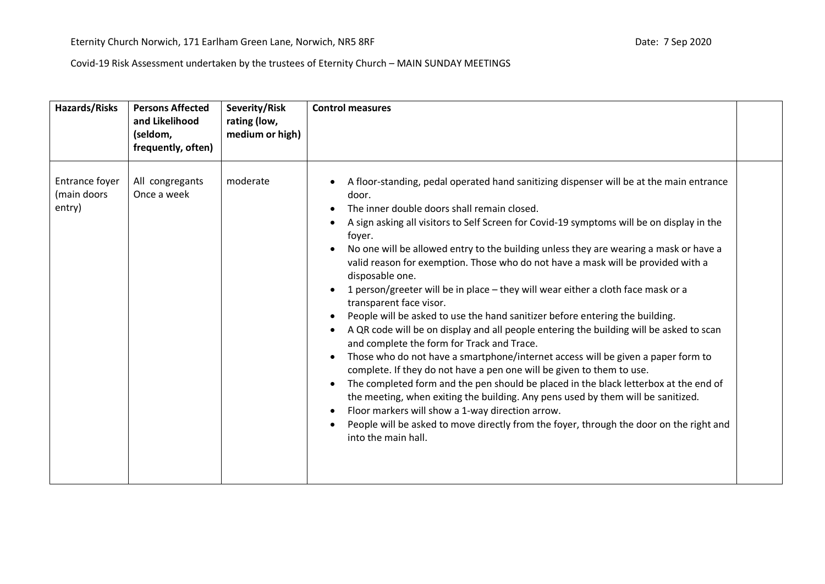| <b>Hazards/Risks</b>                    | <b>Persons Affected</b><br>and Likelihood<br>(seldom,<br>frequently, often) | Severity/Risk<br>rating (low,<br>medium or high) | <b>Control measures</b>                                                                                                                                                                                                                                                                                                                                                                                                                                                                                                                                                                                                                                                                                                                                                                                                                                                                                                                                                                                                                                                                                                                                                                                                                                                                                       |  |
|-----------------------------------------|-----------------------------------------------------------------------------|--------------------------------------------------|---------------------------------------------------------------------------------------------------------------------------------------------------------------------------------------------------------------------------------------------------------------------------------------------------------------------------------------------------------------------------------------------------------------------------------------------------------------------------------------------------------------------------------------------------------------------------------------------------------------------------------------------------------------------------------------------------------------------------------------------------------------------------------------------------------------------------------------------------------------------------------------------------------------------------------------------------------------------------------------------------------------------------------------------------------------------------------------------------------------------------------------------------------------------------------------------------------------------------------------------------------------------------------------------------------------|--|
| Entrance foyer<br>(main doors<br>entry) | All congregants<br>Once a week                                              | moderate                                         | A floor-standing, pedal operated hand sanitizing dispenser will be at the main entrance<br>door.<br>The inner double doors shall remain closed.<br>A sign asking all visitors to Self Screen for Covid-19 symptoms will be on display in the<br>foyer.<br>No one will be allowed entry to the building unless they are wearing a mask or have a<br>valid reason for exemption. Those who do not have a mask will be provided with a<br>disposable one.<br>1 person/greeter will be in place - they will wear either a cloth face mask or a<br>transparent face visor.<br>People will be asked to use the hand sanitizer before entering the building.<br>A QR code will be on display and all people entering the building will be asked to scan<br>and complete the form for Track and Trace.<br>Those who do not have a smartphone/internet access will be given a paper form to<br>complete. If they do not have a pen one will be given to them to use.<br>The completed form and the pen should be placed in the black letterbox at the end of<br>the meeting, when exiting the building. Any pens used by them will be sanitized.<br>Floor markers will show a 1-way direction arrow.<br>People will be asked to move directly from the foyer, through the door on the right and<br>into the main hall. |  |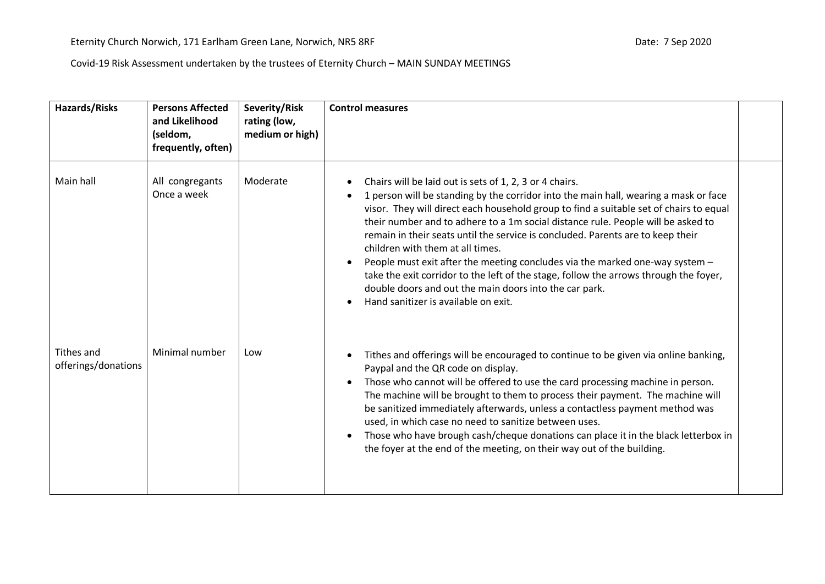| <b>Hazards/Risks</b>              | <b>Persons Affected</b><br>and Likelihood<br>(seldom,<br>frequently, often) | Severity/Risk<br>rating (low,<br>medium or high) | <b>Control measures</b>                                                                                                                                                                                                                                                                                                                                                                                                                                                                                                                                                                                                                                                                                                                                             |  |
|-----------------------------------|-----------------------------------------------------------------------------|--------------------------------------------------|---------------------------------------------------------------------------------------------------------------------------------------------------------------------------------------------------------------------------------------------------------------------------------------------------------------------------------------------------------------------------------------------------------------------------------------------------------------------------------------------------------------------------------------------------------------------------------------------------------------------------------------------------------------------------------------------------------------------------------------------------------------------|--|
| Main hall                         | All congregants<br>Once a week                                              | Moderate                                         | Chairs will be laid out is sets of 1, 2, 3 or 4 chairs.<br>٠<br>1 person will be standing by the corridor into the main hall, wearing a mask or face<br>٠<br>visor. They will direct each household group to find a suitable set of chairs to equal<br>their number and to adhere to a 1m social distance rule. People will be asked to<br>remain in their seats until the service is concluded. Parents are to keep their<br>children with them at all times.<br>People must exit after the meeting concludes via the marked one-way system -<br>$\bullet$<br>take the exit corridor to the left of the stage, follow the arrows through the foyer,<br>double doors and out the main doors into the car park.<br>Hand sanitizer is available on exit.<br>$\bullet$ |  |
| Tithes and<br>offerings/donations | Minimal number                                                              | Low                                              | Tithes and offerings will be encouraged to continue to be given via online banking,<br>٠<br>Paypal and the QR code on display.<br>Those who cannot will be offered to use the card processing machine in person.<br>$\bullet$<br>The machine will be brought to them to process their payment. The machine will<br>be sanitized immediately afterwards, unless a contactless payment method was<br>used, in which case no need to sanitize between uses.<br>Those who have brough cash/cheque donations can place it in the black letterbox in<br>$\bullet$<br>the foyer at the end of the meeting, on their way out of the building.                                                                                                                               |  |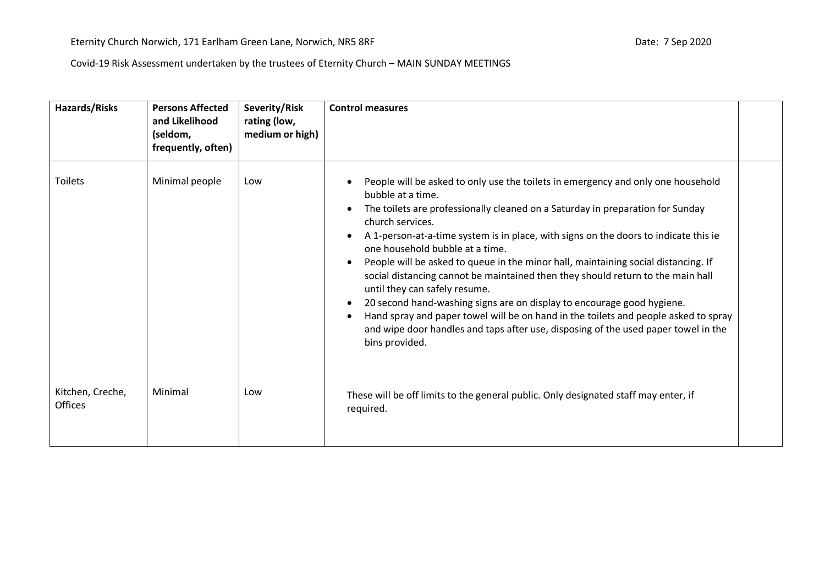| <b>Hazards/Risks</b>        | <b>Persons Affected</b><br>and Likelihood<br>(seldom,<br>frequently, often) | Severity/Risk<br>rating (low,<br>medium or high) | <b>Control measures</b>                                                                                                                                                                                                                                                                                                                                                                                                                                                                                                                                                                                                                                                                                                                                                                                                                                                                    |
|-----------------------------|-----------------------------------------------------------------------------|--------------------------------------------------|--------------------------------------------------------------------------------------------------------------------------------------------------------------------------------------------------------------------------------------------------------------------------------------------------------------------------------------------------------------------------------------------------------------------------------------------------------------------------------------------------------------------------------------------------------------------------------------------------------------------------------------------------------------------------------------------------------------------------------------------------------------------------------------------------------------------------------------------------------------------------------------------|
| <b>Toilets</b>              | Minimal people                                                              | Low                                              | People will be asked to only use the toilets in emergency and only one household<br>bubble at a time.<br>The toilets are professionally cleaned on a Saturday in preparation for Sunday<br>$\bullet$<br>church services.<br>A 1-person-at-a-time system is in place, with signs on the doors to indicate this ie<br>$\bullet$<br>one household bubble at a time.<br>People will be asked to queue in the minor hall, maintaining social distancing. If<br>$\bullet$<br>social distancing cannot be maintained then they should return to the main hall<br>until they can safely resume.<br>20 second hand-washing signs are on display to encourage good hygiene.<br>$\bullet$<br>Hand spray and paper towel will be on hand in the toilets and people asked to spray<br>$\bullet$<br>and wipe door handles and taps after use, disposing of the used paper towel in the<br>bins provided. |
| Kitchen, Creche,<br>Offices | Minimal                                                                     | Low                                              | These will be off limits to the general public. Only designated staff may enter, if<br>required.                                                                                                                                                                                                                                                                                                                                                                                                                                                                                                                                                                                                                                                                                                                                                                                           |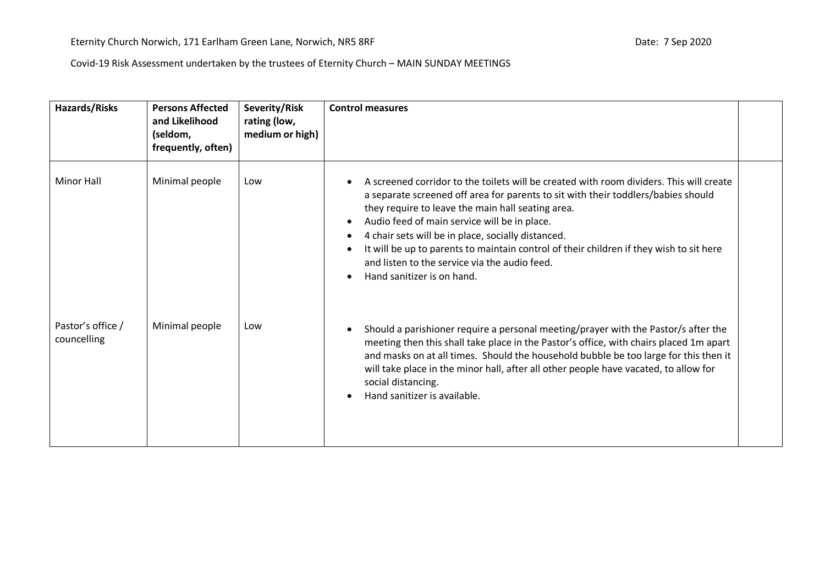| Hazards/Risks                    | <b>Persons Affected</b><br>and Likelihood<br>(seldom,<br>frequently, often) | Severity/Risk<br>rating (low,<br>medium or high) | <b>Control measures</b>                                                                                                                                                                                                                                                                                                                                                                                                                                                                                                                     |  |
|----------------------------------|-----------------------------------------------------------------------------|--------------------------------------------------|---------------------------------------------------------------------------------------------------------------------------------------------------------------------------------------------------------------------------------------------------------------------------------------------------------------------------------------------------------------------------------------------------------------------------------------------------------------------------------------------------------------------------------------------|--|
| <b>Minor Hall</b>                | Minimal people                                                              | Low                                              | A screened corridor to the toilets will be created with room dividers. This will create<br>a separate screened off area for parents to sit with their toddlers/babies should<br>they require to leave the main hall seating area.<br>Audio feed of main service will be in place.<br>$\bullet$<br>4 chair sets will be in place, socially distanced.<br>It will be up to parents to maintain control of their children if they wish to sit here<br>and listen to the service via the audio feed.<br>Hand sanitizer is on hand.<br>$\bullet$ |  |
| Pastor's office /<br>councelling | Minimal people                                                              | Low                                              | Should a parishioner require a personal meeting/prayer with the Pastor/s after the<br>meeting then this shall take place in the Pastor's office, with chairs placed 1m apart<br>and masks on at all times. Should the household bubble be too large for this then it<br>will take place in the minor hall, after all other people have vacated, to allow for<br>social distancing.<br>Hand sanitizer is available.                                                                                                                          |  |